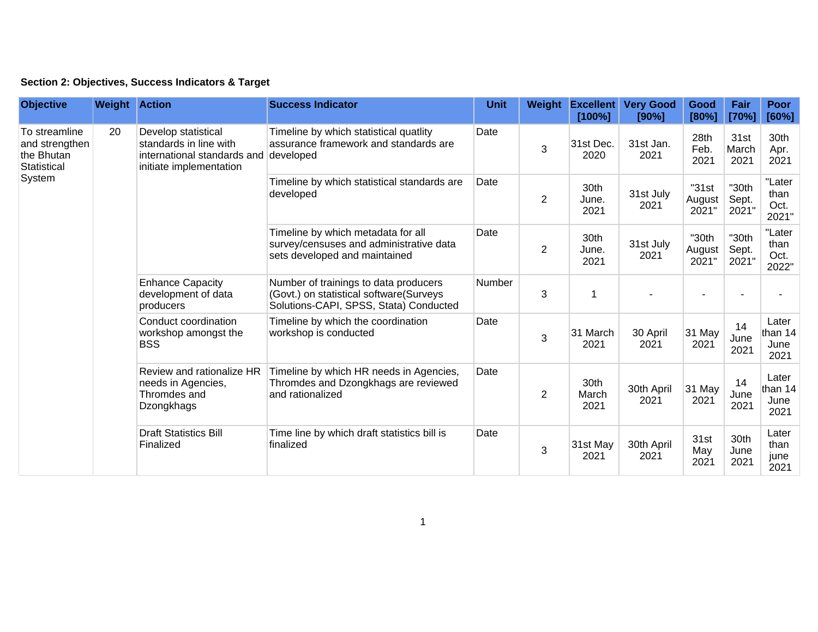## **Section 2: Objectives, Success Indicators & Target**

| <b>Objective</b>                                                       | <b>Weight Action</b>                                                                                                                                                                                                                                    |                                                                                                                | <b>Success Indicator</b>                                                                                | Unit                                                                                                                       |                       | Weight Excellent<br>[100%] | <b>Very Good</b><br>[90%] | Good<br>[80%]            | Fair<br>[70%]                                                                                       | <b>Poor</b><br>[60%]            |                                                          |                       |                    |                  |                    |                                  |
|------------------------------------------------------------------------|---------------------------------------------------------------------------------------------------------------------------------------------------------------------------------------------------------------------------------------------------------|----------------------------------------------------------------------------------------------------------------|---------------------------------------------------------------------------------------------------------|----------------------------------------------------------------------------------------------------------------------------|-----------------------|----------------------------|---------------------------|--------------------------|-----------------------------------------------------------------------------------------------------|---------------------------------|----------------------------------------------------------|-----------------------|--------------------|------------------|--------------------|----------------------------------|
| To streamline<br>and strengthen<br>the Bhutan<br>Statistical<br>System | 20                                                                                                                                                                                                                                                      |                                                                                                                | Develop statistical<br>standards in line with<br>international standards and<br>initiate implementation | Timeline by which statistical quatlity<br>assurance framework and standards are<br>developed                               | Date                  | 3                          | 31st Dec.<br>2020         | 31st Jan.<br>2021        | 28th<br>Feb.<br>2021                                                                                | 31st<br>March<br>2021           | 30th<br>Apr.<br>2021                                     |                       |                    |                  |                    |                                  |
|                                                                        |                                                                                                                                                                                                                                                         |                                                                                                                | Timeline by which statistical standards are<br>developed                                                | Date                                                                                                                       | $\overline{2}$        | 30th<br>June.<br>2021      | 31st July<br>2021         | "31st<br>August<br>2021" | "30th<br>Sept.<br>2021"                                                                             | "Later<br>than<br>Oct.<br>2021" |                                                          |                       |                    |                  |                    |                                  |
|                                                                        | <b>Enhance Capacity</b><br>development of data<br>producers<br>Conduct coordination<br>workshop amongst the<br><b>BSS</b><br>Review and rationalize HR<br>needs in Agencies,<br>Thromdes and<br>Dzongkhags<br><b>Draft Statistics Bill</b><br>Finalized | Timeline by which metadata for all<br>survey/censuses and administrative data<br>sets developed and maintained | Date                                                                                                    | $\overline{c}$                                                                                                             | 30th<br>June.<br>2021 | 31st July<br>2021          | "30th<br>August<br>2021"  | "30th<br>Sept.<br>2021"  | "Later<br>than<br>Oct.<br>2022"                                                                     |                                 |                                                          |                       |                    |                  |                    |                                  |
|                                                                        |                                                                                                                                                                                                                                                         |                                                                                                                |                                                                                                         | Number of trainings to data producers<br>(Govt.) on statistical software(Surveys<br>Solutions-CAPI, SPSS, Stata) Conducted | Number                | 3                          | 1                         |                          |                                                                                                     |                                 |                                                          |                       |                    |                  |                    |                                  |
|                                                                        |                                                                                                                                                                                                                                                         |                                                                                                                |                                                                                                         | Timeline by which the coordination<br>workshop is conducted                                                                | Date                  | $\mathbf{3}$               | 31 March<br>2021          | 30 April<br>2021         | 31 May<br>2021                                                                                      | 14<br>June<br>2021              | Later<br>than 14<br>June<br>2021                         |                       |                    |                  |                    |                                  |
|                                                                        |                                                                                                                                                                                                                                                         |                                                                                                                |                                                                                                         |                                                                                                                            |                       |                            |                           |                          | Timeline by which HR needs in Agencies,<br>Thromdes and Dzongkhags are reviewed<br>and rationalized | Date                            | $\overline{2}$                                           | 30th<br>March<br>2021 | 30th April<br>2021 | 31 May<br>2021   | 14<br>June<br>2021 | Later<br>than 14<br>June<br>2021 |
|                                                                        |                                                                                                                                                                                                                                                         |                                                                                                                |                                                                                                         |                                                                                                                            |                       |                            |                           |                          |                                                                                                     |                                 | Time line by which draft statistics bill is<br>finalized | Date                  | 3                  | 31st May<br>2021 | 30th April<br>2021 | 31st<br>May<br>2021              |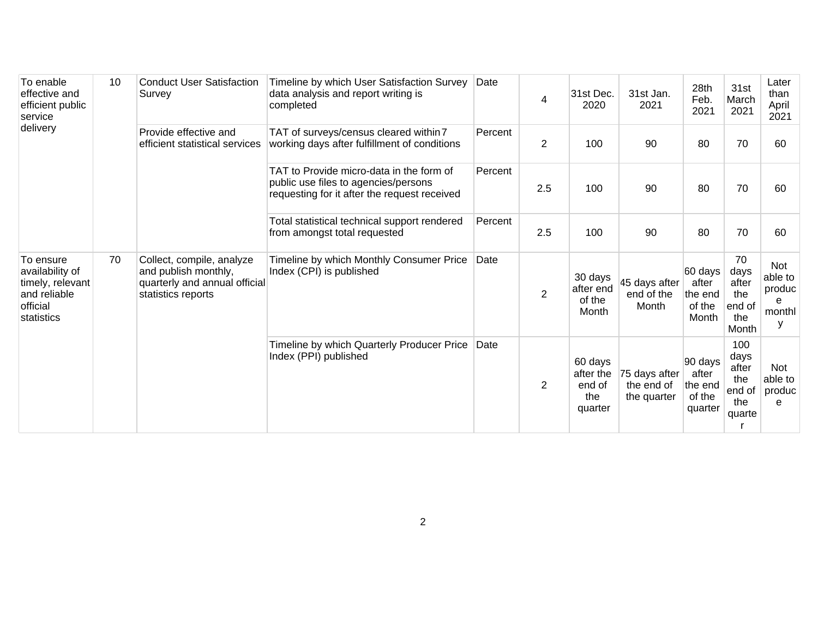| To enable<br>effective and<br>efficient public<br>service<br>delivery                      | 10 | <b>Conduct User Satisfaction</b><br>Survey                                                               | Timeline by which User Satisfaction Survey<br>data analysis and report writing is<br>completed                                   | Date    | 4              | 31st Dec.<br>2020                                | 31st Jan.<br>2021                          | 28th<br>Feb.<br>2021                             | 31st<br>March<br>2021                                  | Later<br>than<br>April<br>2021               |
|--------------------------------------------------------------------------------------------|----|----------------------------------------------------------------------------------------------------------|----------------------------------------------------------------------------------------------------------------------------------|---------|----------------|--------------------------------------------------|--------------------------------------------|--------------------------------------------------|--------------------------------------------------------|----------------------------------------------|
|                                                                                            |    | Provide effective and<br>efficient statistical services                                                  | TAT of surveys/census cleared within 7<br>working days after fulfillment of conditions                                           | Percent | 2              | 100                                              | 90                                         | 80                                               | 70                                                     | 60                                           |
|                                                                                            |    |                                                                                                          | TAT to Provide micro-data in the form of<br>public use files to agencies/persons<br>requesting for it after the request received | Percent | 2.5            | 100                                              | 90                                         | 80                                               | 70                                                     | 60                                           |
|                                                                                            |    |                                                                                                          | Total statistical technical support rendered<br>from amongst total requested                                                     | Percent | 2.5            | 100                                              | 90                                         | 80                                               | 70                                                     | 60                                           |
| To ensure<br>availability of<br>timely, relevant<br>and reliable<br>official<br>statistics | 70 | Collect, compile, analyze<br>and publish monthly,<br>quarterly and annual official<br>statistics reports | Timeline by which Monthly Consumer Price<br>Index (CPI) is published                                                             | Date    | $\overline{2}$ | 30 days<br>after end<br>of the<br>Month          | 45 days after<br>end of the<br>Month       | 60 days<br>after<br>the end<br>of the<br>Month   | 70<br>days<br>after<br>the<br>end of<br>the<br>Month   | Not<br>able to<br>produc<br>e<br>monthl<br>y |
|                                                                                            |    |                                                                                                          | Timeline by which Quarterly Producer Price<br>Index (PPI) published                                                              | Date    | $\overline{2}$ | 60 days<br>after the<br>end of<br>the<br>quarter | 75 days after<br>the end of<br>the quarter | 90 days<br>after<br>the end<br>of the<br>quarter | 100<br>days<br>after<br>the<br>end of<br>the<br>quarte | Not<br>able to<br>produc<br>e                |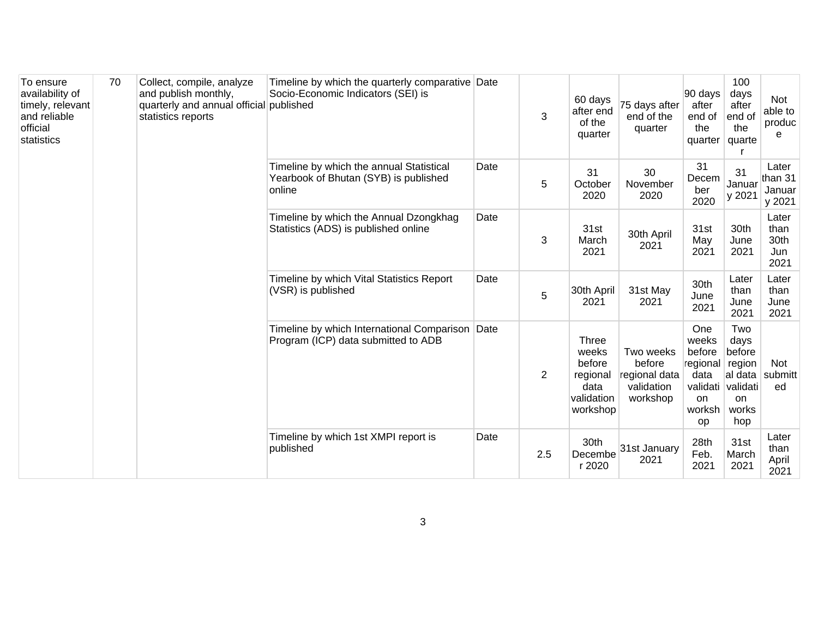| To ensure<br>availability of<br>timely, relevant<br>and reliable<br>official<br>statistics | 70 | Collect, compile, analyze<br>and publish monthly,<br>quarterly and annual official published<br>statistics reports | Timeline by which the quarterly comparative Date<br>Socio-Economic Indicators (SEI) is      |      | 3              | 60 days<br>after end<br>of the<br>quarter                                     | 75 days after<br>end of the<br>quarter                         | 90 days<br>after<br>end of<br>the<br>quarter                                                 | 100<br>days<br>after<br>end of<br>the<br>quarte                         | <b>Not</b><br>able to<br>produc<br>e |
|--------------------------------------------------------------------------------------------|----|--------------------------------------------------------------------------------------------------------------------|---------------------------------------------------------------------------------------------|------|----------------|-------------------------------------------------------------------------------|----------------------------------------------------------------|----------------------------------------------------------------------------------------------|-------------------------------------------------------------------------|--------------------------------------|
|                                                                                            |    |                                                                                                                    | Timeline by which the annual Statistical<br>Yearbook of Bhutan (SYB) is published<br>online | Date | 5              | 31<br>October<br>2020                                                         | 30<br>November<br>2020                                         | 31<br>Decem<br>ber<br>2020                                                                   | 31<br>Januar<br>y 2021                                                  | Later<br>than 31<br>Januar<br>y 2021 |
|                                                                                            |    |                                                                                                                    | Timeline by which the Annual Dzongkhag<br>Statistics (ADS) is published online              | Date | $\mathbf{3}$   | 31st<br>March<br>2021                                                         | 30th April<br>2021                                             | 31st<br>May<br>2021                                                                          | 30th<br>June<br>2021                                                    | Later<br>than<br>30th<br>Jun<br>2021 |
|                                                                                            |    |                                                                                                                    | Timeline by which Vital Statistics Report<br>(VSR) is published                             | Date | $\overline{5}$ | 30th April<br>2021                                                            | 31st May<br>2021                                               | 30th<br>June<br>2021                                                                         | Later<br>than<br>June<br>2021                                           | Later<br>than<br>June<br>2021        |
|                                                                                            |    |                                                                                                                    | Timeline by which International Comparison<br>Program (ICP) data submitted to ADB           | Date | 2              | <b>Three</b><br>weeks<br>before<br>regional<br>data<br>validation<br>workshop | Two weeks<br>before<br>regional data<br>validation<br>workshop | One<br>weeks<br>before<br>regional<br>data<br>validati validati<br><b>on</b><br>worksh<br>op | Two<br>days<br>before<br>region<br>al data<br><b>on</b><br>works<br>hop | <b>Not</b><br>submitt<br>ed          |
|                                                                                            |    |                                                                                                                    | Timeline by which 1st XMPI report is<br>published                                           | Date | 2.5            | 30th<br>Decembe<br>r 2020                                                     | 31st January<br>2021                                           | 28th<br>Feb.<br>2021                                                                         | 31st<br>March<br>2021                                                   | Later<br>than<br>April<br>2021       |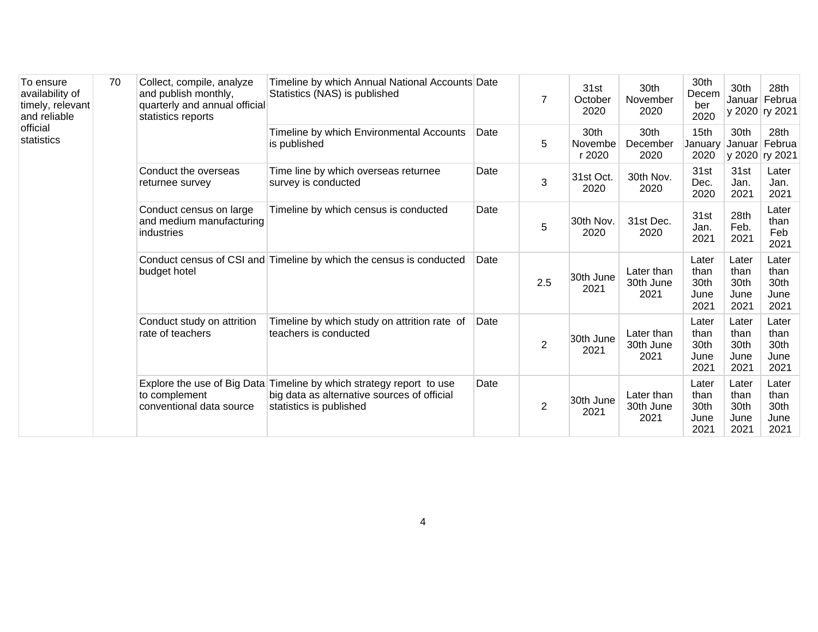| To ensure<br>availability of<br>timely, relevant<br>and reliable<br>official<br>statistics | 70 | Collect, compile, analyze<br>and publish monthly,<br>quarterly and annual official<br>statistics reports | Timeline by which Annual National Accounts Date<br>Statistics (NAS) is published |                                                                                                                                                | $\overline{7}$                                 | 31st<br>October<br>2020                                               | 30th<br>November<br>2020        | 30th<br>Decem<br>ber<br>2020          | 30th                                  | 28th<br>Januar Februa<br>y 2020 ry 2021 |                                       |                                       |                                       |
|--------------------------------------------------------------------------------------------|----|----------------------------------------------------------------------------------------------------------|----------------------------------------------------------------------------------|------------------------------------------------------------------------------------------------------------------------------------------------|------------------------------------------------|-----------------------------------------------------------------------|---------------------------------|---------------------------------------|---------------------------------------|-----------------------------------------|---------------------------------------|---------------------------------------|---------------------------------------|
|                                                                                            |    |                                                                                                          | Timeline by which Environmental Accounts<br>is published                         | Date                                                                                                                                           | 5                                              | 30th<br>Novembe<br>r 2020                                             | 30th<br>December<br>2020        | 15 <sub>th</sub><br>January<br>2020   | 30th<br>Januar                        | 28th<br>Februa<br>y 2020 ry 2021        |                                       |                                       |                                       |
|                                                                                            |    | Conduct the overseas<br>returnee survey                                                                  | Time line by which overseas returnee<br>survey is conducted                      | Date                                                                                                                                           | 3                                              | 31st Oct.<br>2020                                                     | 30th Nov.<br>2020               | 31st<br>Dec.<br>2020                  | 31st<br>Jan.<br>2021                  | Later<br>Jan.<br>2021                   |                                       |                                       |                                       |
|                                                                                            |    | Conduct census on large<br>and medium manufacturing<br>industries                                        | Timeline by which census is conducted                                            | Date                                                                                                                                           | 5                                              | 30th Nov.<br>2020                                                     | 31st Dec.<br>2020               | 31st<br>Jan.<br>2021                  | 28th<br>Feb.<br>2021                  | Later<br>than<br>Feb<br>2021            |                                       |                                       |                                       |
|                                                                                            |    | budget hotel                                                                                             | Conduct census of CSI and Timeline by which the census is conducted              | Date                                                                                                                                           | 2.5                                            | 30th June<br>2021                                                     | Later than<br>30th June<br>2021 | Later<br>than<br>30th<br>June<br>2021 | Later<br>than<br>30th<br>June<br>2021 | Later<br>than<br>30th<br>June<br>2021   |                                       |                                       |                                       |
|                                                                                            |    |                                                                                                          |                                                                                  |                                                                                                                                                | Conduct study on attrition<br>rate of teachers | Timeline by which study on attrition rate of<br>teachers is conducted | Date                            | $\overline{c}$                        | 30th June<br>2021                     | Later than<br>30th June<br>2021         | Later<br>than<br>30th<br>June<br>2021 | Later<br>than<br>30th<br>June<br>2021 | Later<br>than<br>30th<br>June<br>2021 |
|                                                                                            |    |                                                                                                          | to complement<br>conventional data source                                        | Explore the use of Big Data Timeline by which strategy report to use<br>big data as alternative sources of official<br>statistics is published | Date                                           | $\overline{2}$                                                        | 30th June<br>2021               | Later than<br>30th June<br>2021       | Later<br>than<br>30th<br>June<br>2021 | Later<br>than<br>30th<br>June<br>2021   | Later<br>than<br>30th<br>June<br>2021 |                                       |                                       |